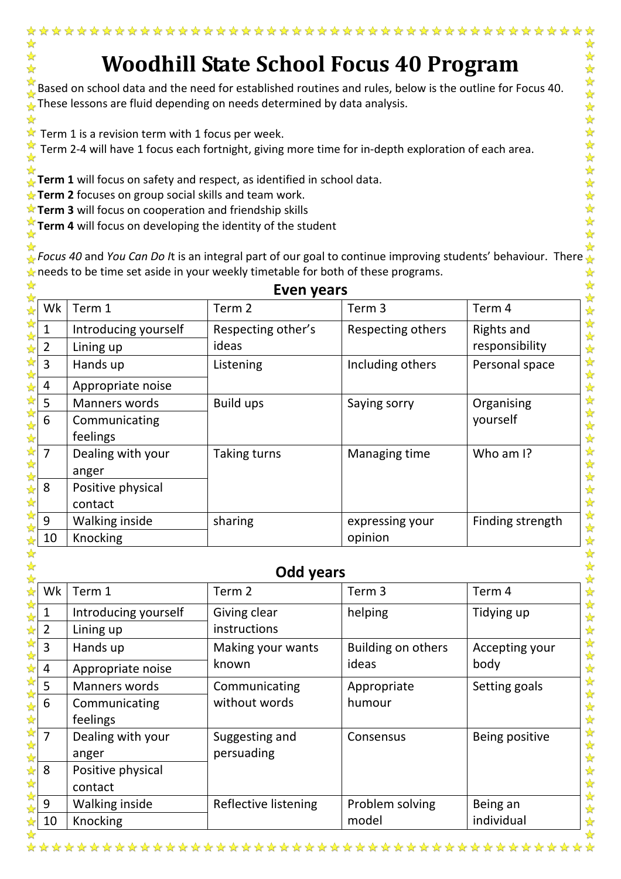## **Woodhill State School Focus 40 Program**

☆  $\sum_{k=1}^{N}$ 

☆  $\frac{1}{\mathbf{k}^2}$ 

社长好好好好

 $\frac{1}{2}$ 5个好!  $\frac{1}{2}$  $\frac{1}{\sqrt{2}}$ 

☆ Based on school data and the need for established routines and rules, below is the outline for Focus 40. These lessons are fluid depending on needs determined by data analysis.

 $\mathbf{\hat{x}}$  Term 1 is a revision term with 1 focus per week.

☆

 $\frac{1}{\sqrt{2}}$  $\frac{1}{\sqrt{2}}$ 

 $\frac{1}{\sqrt{2}}$ 

☆

Term 2-4 will have 1 focus each fortnight, giving more time for in-depth exploration of each area.

☆ **Term 1** will focus on safety and respect, as identified in school data.

**Term 2** focuses on group social skills and team work.

**Term 3** will focus on cooperation and friendship skills

**Term 4** will focus on developing the identity of the student ☆

*Focus 40* and *You Can Do I*t is an integral part of our goal to continue improving students' behaviour. There ⇘ 经经  $\triangle$  needs to be time set aside in your weekly timetable for both of these programs.

| ☆<br><b>Even years</b>                      |                      |                    |                   |                  |  |  |
|---------------------------------------------|----------------------|--------------------|-------------------|------------------|--|--|
| Wk<br>$\frac{1}{\sqrt{2}}$                  | Term 1               | Term 2             | Term <sub>3</sub> | Term 4           |  |  |
|                                             | Introducing yourself | Respecting other's | Respecting others | Rights and       |  |  |
| 55年<br>$\overline{2}$                       | Lining up            | ideas              |                   | responsibility   |  |  |
| ☆<br>$\overline{3}$<br>$\frac{1}{\sqrt{2}}$ | Hands up             | Listening          | Including others  | Personal space   |  |  |
| 4                                           | Appropriate noise    |                    |                   |                  |  |  |
| 5                                           | Manners words        | <b>Build ups</b>   | Saying sorry      | Organising       |  |  |
| $6\phantom{1}6$                             | Communicating        |                    |                   | yourself         |  |  |
| 25 25 25                                    | feelings             |                    |                   |                  |  |  |
| 冷冷<br>$\overline{7}$                        | Dealing with your    | Taking turns       | Managing time     | Who am I?        |  |  |
|                                             | anger                |                    |                   |                  |  |  |
| 华华<br>8<br>☆                                | Positive physical    |                    |                   |                  |  |  |
|                                             | contact              |                    |                   |                  |  |  |
| 计算<br>9                                     | Walking inside       | sharing            | expressing your   | Finding strength |  |  |
| 10                                          | Knocking             |                    | opinion           |                  |  |  |

| Odd years |                      |                      |                    |                |  |  |  |
|-----------|----------------------|----------------------|--------------------|----------------|--|--|--|
| Wk        | Term 1               | Term <sub>2</sub>    | Term <sub>3</sub>  | Term 4         |  |  |  |
| 1         | Introducing yourself | Giving clear         | helping            | Tidying up     |  |  |  |
| 2         | Lining up            | instructions         |                    |                |  |  |  |
| 3         | Hands up             | Making your wants    | Building on others | Accepting your |  |  |  |
| 4         | Appropriate noise    | known                | ideas              | body           |  |  |  |
| 5         | <b>Manners words</b> | Communicating        | Appropriate        | Setting goals  |  |  |  |
| 6         | Communicating        | without words        | humour             |                |  |  |  |
|           | feelings             |                      |                    |                |  |  |  |
| 7         | Dealing with your    | Suggesting and       | Consensus          | Being positive |  |  |  |
|           | anger                | persuading           |                    |                |  |  |  |
| 8         | Positive physical    |                      |                    |                |  |  |  |
|           | contact              |                      |                    |                |  |  |  |
| 9         | Walking inside       | Reflective listening | Problem solving    | Being an       |  |  |  |
| 10        | Knocking             |                      | model              | individual     |  |  |  |